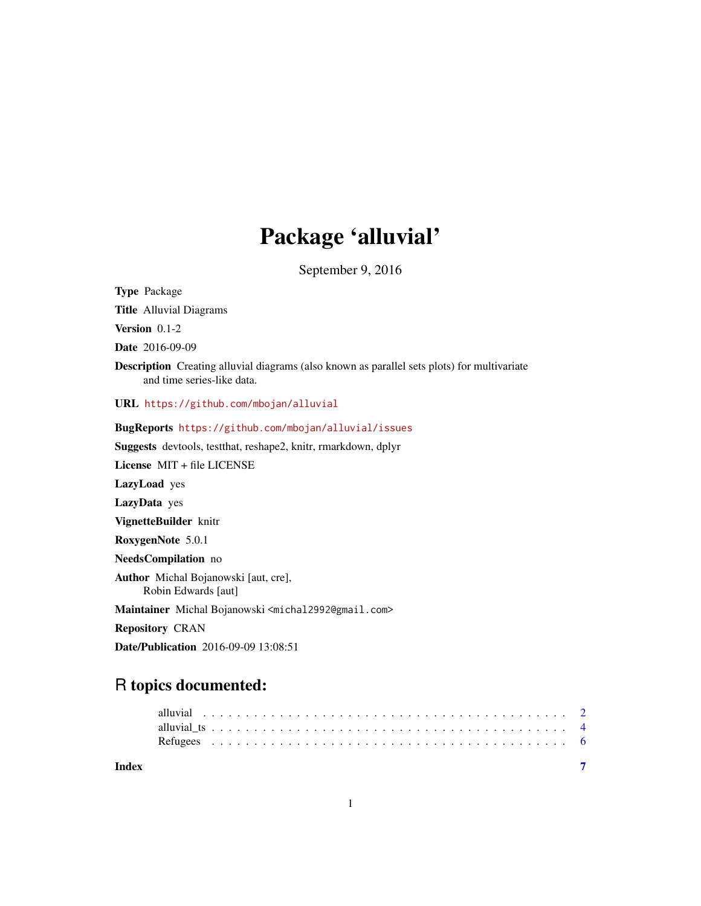## Package 'alluvial'

September 9, 2016

<span id="page-0-0"></span>Type Package

Title Alluvial Diagrams

Version 0.1-2

Date 2016-09-09

Description Creating alluvial diagrams (also known as parallel sets plots) for multivariate and time series-like data.

URL <https://github.com/mbojan/alluvial>

BugReports <https://github.com/mbojan/alluvial/issues>

Suggests devtools, testthat, reshape2, knitr, rmarkdown, dplyr

License MIT + file LICENSE

LazyLoad yes

LazyData yes

VignetteBuilder knitr

RoxygenNote 5.0.1

NeedsCompilation no

Author Michal Bojanowski [aut, cre], Robin Edwards [aut]

Maintainer Michal Bojanowski <michal2992@gmail.com>

Repository CRAN

Date/Publication 2016-09-09 13:08:51

### R topics documented:

| Index |  |  |  |  |  |  |  |  |  |  |  |  |  |  |  |  |  |  |  |  |  |
|-------|--|--|--|--|--|--|--|--|--|--|--|--|--|--|--|--|--|--|--|--|--|
|       |  |  |  |  |  |  |  |  |  |  |  |  |  |  |  |  |  |  |  |  |  |
|       |  |  |  |  |  |  |  |  |  |  |  |  |  |  |  |  |  |  |  |  |  |
|       |  |  |  |  |  |  |  |  |  |  |  |  |  |  |  |  |  |  |  |  |  |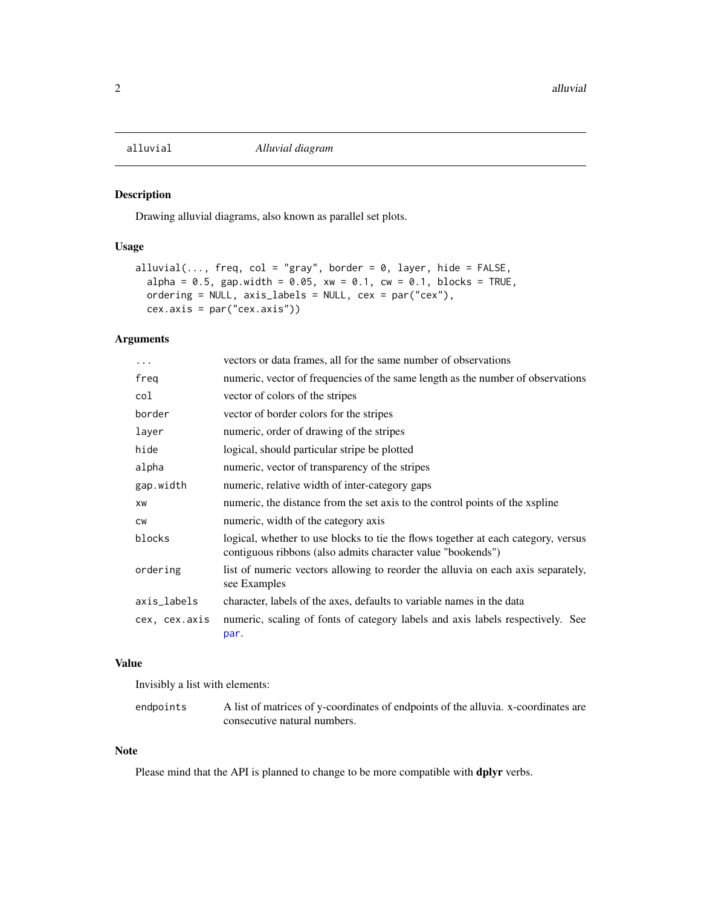<span id="page-1-0"></span>

#### Description

Drawing alluvial diagrams, also known as parallel set plots.

#### Usage

```
alluvial(..., freq, col = "gray", border = 0, layer, hide = FALSE,
  alpha = 0.5, gap.width = 0.05, xw = 0.1, cw = 0.1, blocks = TRUE,
 ordering = NULL, axis_labels = NULL, cex = par("cex"),
  cex.axis = par("cex.axis"))
```
#### Arguments

| .             | vectors or data frames, all for the same number of observations                                                                                  |
|---------------|--------------------------------------------------------------------------------------------------------------------------------------------------|
| freg          | numeric, vector of frequencies of the same length as the number of observations                                                                  |
| col           | vector of colors of the stripes                                                                                                                  |
| border        | vector of border colors for the stripes                                                                                                          |
| layer         | numeric, order of drawing of the stripes                                                                                                         |
| hide          | logical, should particular stripe be plotted                                                                                                     |
| alpha         | numeric, vector of transparency of the stripes                                                                                                   |
| gap.width     | numeric, relative width of inter-category gaps                                                                                                   |
| XW            | numeric, the distance from the set axis to the control points of the xspline                                                                     |
| <b>CW</b>     | numeric, width of the category axis                                                                                                              |
| blocks        | logical, whether to use blocks to tie the flows together at each category, versus<br>contiguous ribbons (also admits character value "bookends") |
| ordering      | list of numeric vectors allowing to reorder the alluvia on each axis separately,<br>see Examples                                                 |
| axis_labels   | character, labels of the axes, defaults to variable names in the data                                                                            |
| cex, cex.axis | numeric, scaling of fonts of category labels and axis labels respectively. See<br>par.                                                           |

#### Value

Invisibly a list with elements:

endpoints A list of matrices of y-coordinates of endpoints of the alluvia. x-coordinates are consecutive natural numbers.

#### Note

Please mind that the API is planned to change to be more compatible with **dplyr** verbs.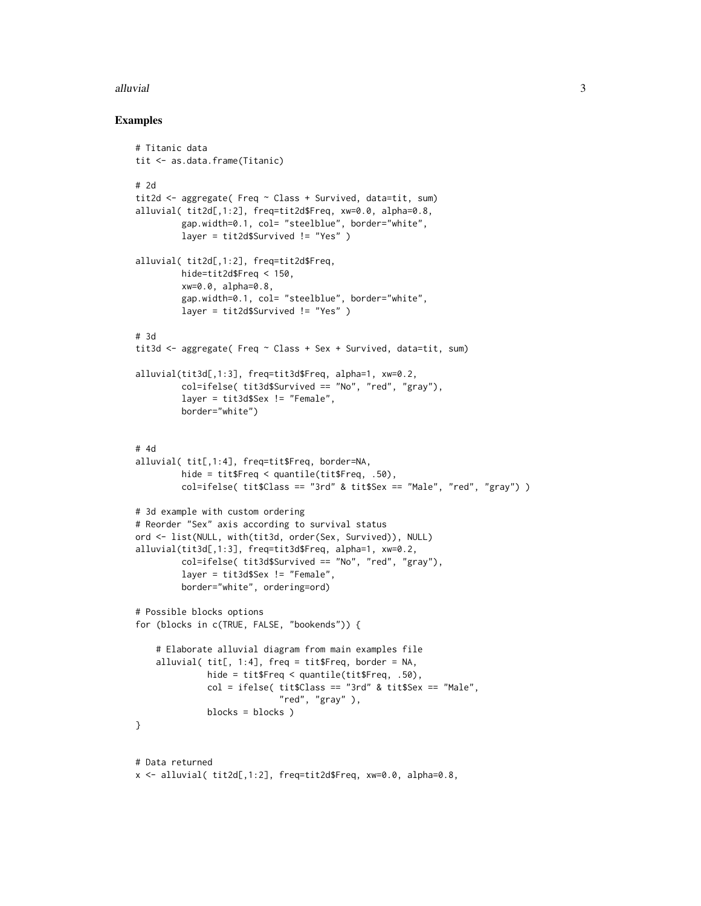#### alluvial 3

#### Examples

```
# Titanic data
tit <- as.data.frame(Titanic)
# 2d
tit2d <- aggregate( Freq ~ Class + Survived, data=tit, sum)
alluvial( tit2d[,1:2], freq=tit2d$Freq, xw=0.0, alpha=0.8,
         gap.width=0.1, col= "steelblue", border="white",
         layer = tit2d$Survived != "Yes" )
alluvial( tit2d[,1:2], freq=tit2d$Freq,
         hide=tit2d$Freq < 150,
         xw=0.0, alpha=0.8,
         gap.width=0.1, col= "steelblue", border="white",
         layer = tit2d$Survived != "Yes" )
# 3d
tit3d <- aggregate( Freq ~ Class + Sex + Survived, data=tit, sum)
alluvial(tit3d[,1:3], freq=tit3d$Freq, alpha=1, xw=0.2,
         col=ifelse( tit3d$Survived == "No", "red", "gray"),
         layer = tit3d$Sex != "Female",
         border="white")
# 4d
alluvial( tit[,1:4], freq=tit$Freq, border=NA,
         hide = tit$Freq < quantile(tit$Freq, .50),
         col=ifelse( tit$Class == "3rd" & tit$Sex == "Male", "red", "gray") )
# 3d example with custom ordering
# Reorder "Sex" axis according to survival status
ord <- list(NULL, with(tit3d, order(Sex, Survived)), NULL)
alluvial(tit3d[,1:3], freq=tit3d$Freq, alpha=1, xw=0.2,
         col=ifelse( tit3d$Survived == "No", "red", "gray"),
         layer = tit3d$Sex != "Female",
         border="white", ordering=ord)
# Possible blocks options
for (blocks in c(TRUE, FALSE, "bookends")) {
    # Elaborate alluvial diagram from main examples file
    alluvial(\text{tit}, 1:4], freq = \text{tit}Freq, border = NA,
              hide = tit$Freq < quantile(tit$Freq, .50),
              col = ifelse( tit$Class == "3rd" & tit$Sex == "Male","red", "gray"),
              blocks = blocks )
}
# Data returned
x <- alluvial( tit2d[,1:2], freq=tit2d$Freq, xw=0.0, alpha=0.8,
```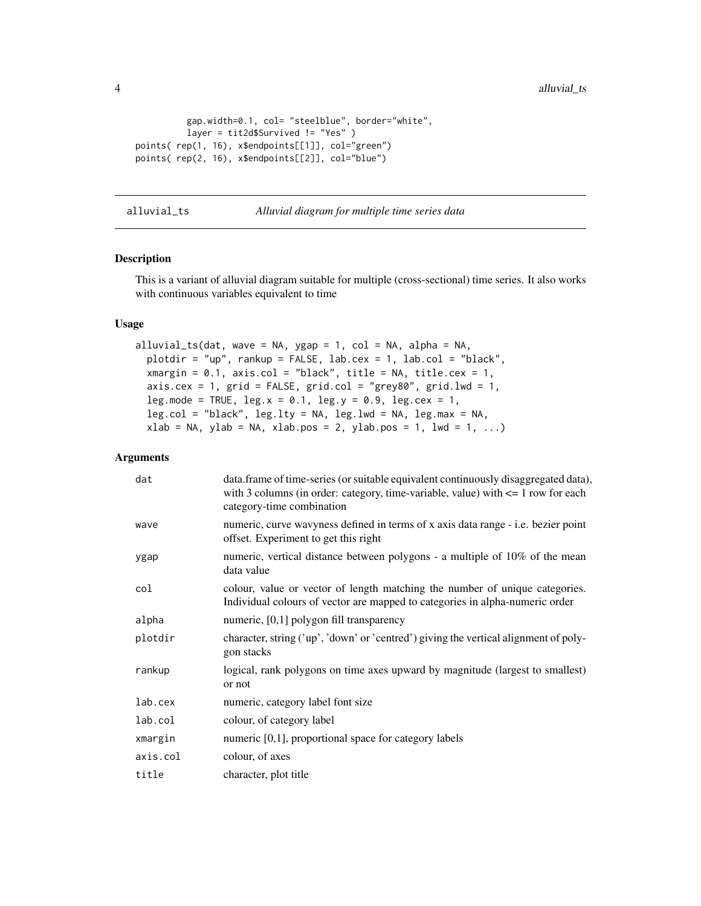<span id="page-3-0"></span>4 alluvial\_ts and the contract of the contract of the contract of the contract of the contract of the contract of the contract of the contract of the contract of the contract of the contract of the contract of the contract

```
gap.width=0.1, col= "steelblue", border="white",
         layer = tit2d$Survived != "Yes" )
points( rep(1, 16), x$endpoints[[1]], col="green")
points( rep(2, 16), x$endpoints[[2]], col="blue")
```
alluvial\_ts *Alluvial diagram for multiple time series data*

#### Description

This is a variant of alluvial diagram suitable for multiple (cross-sectional) time series. It also works with continuous variables equivalent to time

#### Usage

```
alluvial_ts(dat, wave = NA, ygap = 1, col = NA, alpha = NA,
 plotdir = "up", rankup = FALSE, lab.cex = 1, lab.col = "black",
  xmargin = 0.1, axis.col = "black", title = NA, title.cex = 1,
  axis.cex = 1, grid = FALSE, grid.col = "grey80", grid.1wd = 1,leg.mode = TRUE, leg.x = 0.1, leg.y = 0.9, leg.cex = 1,
  leg.col = "black", leg.lty = NA, leg.lwd = NA, leg.max = NA,
  xlab = NA, ylab = NA, xlab.pos = 2, ylab.pos = 1, lwd = 1, ...)
```
#### Arguments

| dat      | data.frame of time-series (or suitable equivalent continuously disaggregated data),<br>with 3 columns (in order: category, time-variable, value) with $\leq 1$ row for each<br>category-time combination |
|----------|----------------------------------------------------------------------------------------------------------------------------------------------------------------------------------------------------------|
| wave     | numeric, curve wavyness defined in terms of x axis data range - i.e. bezier point<br>offset. Experiment to get this right                                                                                |
| ygap     | numeric, vertical distance between polygons - a multiple of 10% of the mean<br>data value                                                                                                                |
| col      | colour, value or vector of length matching the number of unique categories.<br>Individual colours of vector are mapped to categories in alpha-numeric order                                              |
| alpha    | numeric, [0,1] polygon fill transparency                                                                                                                                                                 |
| plotdir  | character, string ('up', 'down' or 'centred') giving the vertical alignment of poly-<br>gon stacks                                                                                                       |
| rankup   | logical, rank polygons on time axes upward by magnitude (largest to smallest)<br>or not                                                                                                                  |
| lab.cex  | numeric, category label font size                                                                                                                                                                        |
| lab.col  | colour, of category label                                                                                                                                                                                |
| xmargin  | numeric $[0,1]$ , proportional space for category labels                                                                                                                                                 |
| axis.col | colour, of axes                                                                                                                                                                                          |
| title    | character, plot title                                                                                                                                                                                    |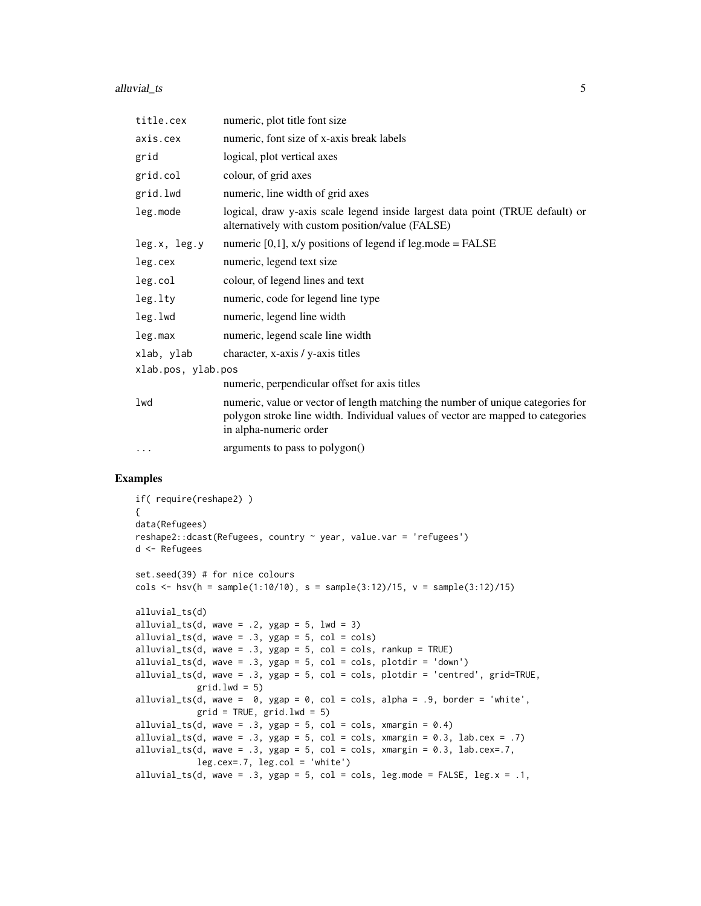#### alluvial\_ts 5

| title.cex          | numeric, plot title font size                                                                                                                                                                |  |  |  |  |  |  |  |
|--------------------|----------------------------------------------------------------------------------------------------------------------------------------------------------------------------------------------|--|--|--|--|--|--|--|
| axis.cex           | numeric, font size of x-axis break labels                                                                                                                                                    |  |  |  |  |  |  |  |
| grid               | logical, plot vertical axes                                                                                                                                                                  |  |  |  |  |  |  |  |
| grid.col           | colour, of grid axes                                                                                                                                                                         |  |  |  |  |  |  |  |
| grid.lwd           | numeric, line width of grid axes                                                                                                                                                             |  |  |  |  |  |  |  |
| leg.mode           | logical, draw y-axis scale legend inside largest data point (TRUE default) or<br>alternatively with custom position/value (FALSE)                                                            |  |  |  |  |  |  |  |
| leg.x, leg.y       | numeric $[0,1]$ , x/y positions of legend if leg.mode = FALSE                                                                                                                                |  |  |  |  |  |  |  |
| leg.cex            | numeric, legend text size                                                                                                                                                                    |  |  |  |  |  |  |  |
| leg.col            | colour, of legend lines and text                                                                                                                                                             |  |  |  |  |  |  |  |
| leg.lty            | numeric, code for legend line type                                                                                                                                                           |  |  |  |  |  |  |  |
| leg.lwd            | numeric, legend line width                                                                                                                                                                   |  |  |  |  |  |  |  |
| leg.max            | numeric, legend scale line width                                                                                                                                                             |  |  |  |  |  |  |  |
| xlab, ylab         | character, x-axis / y-axis titles                                                                                                                                                            |  |  |  |  |  |  |  |
| xlab.pos, ylab.pos |                                                                                                                                                                                              |  |  |  |  |  |  |  |
|                    | numeric, perpendicular offset for axis titles                                                                                                                                                |  |  |  |  |  |  |  |
| lwd                | numeric, value or vector of length matching the number of unique categories for<br>polygon stroke line width. Individual values of vector are mapped to categories<br>in alpha-numeric order |  |  |  |  |  |  |  |
| $\ddotsc$          | arguments to pass to polygon()                                                                                                                                                               |  |  |  |  |  |  |  |

#### Examples

```
if( require(reshape2) )
{
data(Refugees)
reshape2::dcast(Refugees, country ~ year, value.var = 'refugees')
d <- Refugees
set.seed(39) # for nice colours
cols \leq hsv(h = sample(1:10/10), s = sample(3:12)/15, v = sample(3:12)/15)
alluvial_ts(d)
alluvial_ts(d, wave = .2, ygap = 5, lwd = 3)
alluvial_ts(d, wave = .3, ygap = 5, col = cols)
alluvial_ts(d, wave = .3, ygap = 5, col = cols, rankup = TRUE)alluvial_ts(d, wave = .3, ygap = 5, col = cols, plotdir = 'down')
alluvial_ts(d, wave = .3, ygap = 5, col = cols, plotdir = 'centred', grid=TRUE,
            grid.lwd = 5)alluvial_ts(d, wave = 0, ygap = 0, col = cols, alpha = .9, border = 'white',
            grid = TRUE, grid.1wd = 5)alluvial_ts(d, wave = .3, ygap = 5, col = cols, xmargin = 0.4)
alluvial_ts(d, wave = .3, ygap = 5, col = cols, xmargin = 0.3, lab.cex = .7)
alluvial_ts(d, wave = .3, ygap = 5, col = cols, xmargin = 0.3, lab.cex=.7,
           leg.cex=.7, leg.col = 'white')alluvial_ts(d, wave = .3, ygap = 5, col = cols, leg.mode = FALSE, leg.x = .1,
```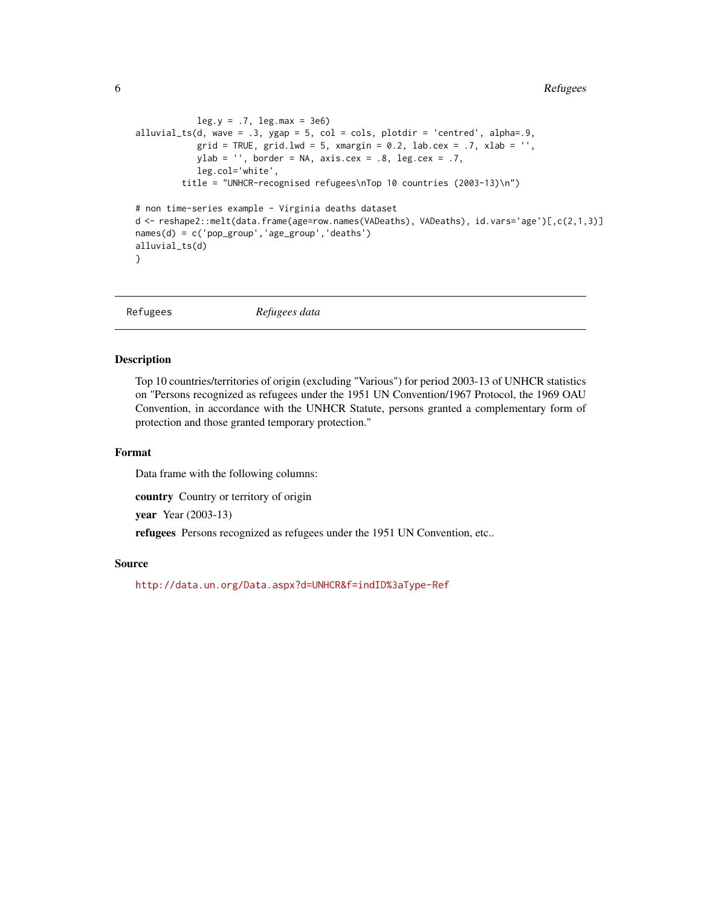```
leg.y = .7, leg.max = 3e6alluvial_ts(d, wave = .3, ygap = 5, col = cols, plotdir = 'centred', alpha=.9,
           grid = TRUE, grid.lwd = 5, xmargin = 0.2, lab.cex = .7, xlab = ',
           ylab = ', border = NA, axis.cex = .8, leg.cex = .7,
           leg.col='white',
         title = "UNHCR-recognised refugees\nTop 10 countries (2003-13)\n")
# non time-series example - Virginia deaths dataset
d <- reshape2::melt(data.frame(age=row.names(VADeaths), VADeaths), id.vars='age')[,c(2,1,3)]
names(d) = c('pop_group','age_group','deaths')
alluvial_ts(d)
}
```
Refugees *Refugees data*

#### Description

Top 10 countries/territories of origin (excluding "Various") for period 2003-13 of UNHCR statistics on "Persons recognized as refugees under the 1951 UN Convention/1967 Protocol, the 1969 OAU Convention, in accordance with the UNHCR Statute, persons granted a complementary form of protection and those granted temporary protection."

#### Format

Data frame with the following columns:

country Country or territory of origin

year Year (2003-13)

refugees Persons recognized as refugees under the 1951 UN Convention, etc..

#### Source

<http://data.un.org/Data.aspx?d=UNHCR&f=indID%3aType-Ref>